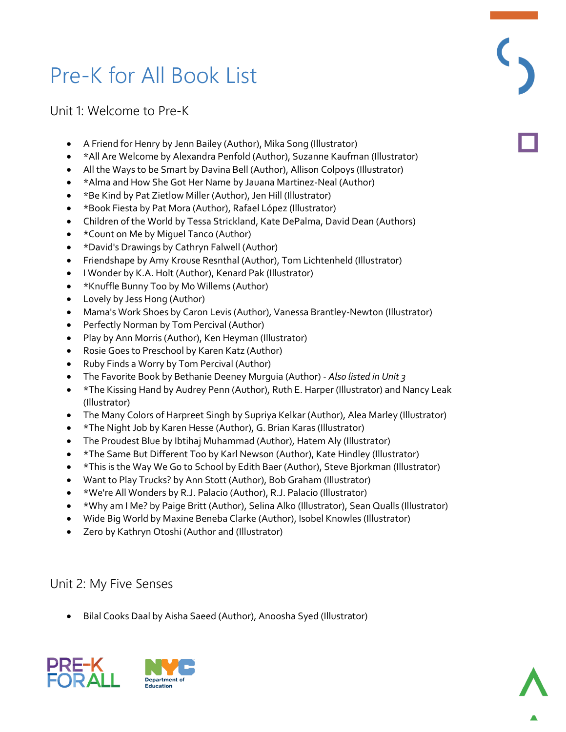# Pre-K for All Book List

Unit 1: Welcome to Pre-K

- A Friend for Henry by Jenn Bailey (Author), Mika Song (Illustrator)
- \*All Are Welcome by Alexandra Penfold (Author), Suzanne Kaufman (Illustrator)
- All the Ways to be Smart by Davina Bell (Author), Allison Colpoys (Illustrator)
- \*Alma and How She Got Her Name by Jauana Martinez-Neal (Author)
- \*Be Kind by Pat Zietlow Miller (Author), Jen Hill (Illustrator)
- \*Book Fiesta by Pat Mora (Author), Rafael López (Illustrator)
- Children of the World by Tessa Strickland, Kate DePalma, David Dean (Authors)
- \* Count on Me by Miquel Tanco (Author)
- \*David's Drawings by Cathryn Falwell (Author)
- Friendshape by Amy Krouse Resnthal (Author), Tom Lichtenheld (Illustrator)
- I Wonder by K.A. Holt (Author), Kenard Pak (Illustrator)
- \*Knuffle Bunny Too by Mo Willems (Author)
- Lovely by Jess Hong (Author)
- Mama's Work Shoes by Caron Levis (Author), Vanessa Brantley-Newton (Illustrator)
- Perfectly Norman by Tom Percival (Author)
- Play by Ann Morris (Author), Ken Heyman (Illustrator)
- Rosie Goes to Preschool by Karen Katz (Author)
- Ruby Finds a Worry by Tom Percival (Author)
- The Favorite Book by Bethanie Deeney Murguia (Author) *Also listed in Unit 3*
- \*The Kissing Hand by Audrey Penn (Author), Ruth E. Harper (Illustrator) and Nancy Leak (Illustrator)
- The Many Colors of Harpreet Singh by Supriya Kelkar (Author), Alea Marley (Illustrator)
- \*The Night Job by Karen Hesse (Author), G. Brian Karas (Illustrator)
- The Proudest Blue by Ibtihaj Muhammad (Author), Hatem Aly (Illustrator)
- \*The Same But Different Too by Karl Newson (Author), Kate Hindley (Illustrator)
- \*This is the Way We Go to School by Edith Baer (Author), Steve Bjorkman (Illustrator)
- Want to Play Trucks? by Ann Stott (Author), Bob Graham (Illustrator)
- \*We're All Wonders by R.J. Palacio (Author), R.J. Palacio (Illustrator)
- \*Why am I Me? by Paige Britt (Author), Selina Alko (Illustrator), Sean Qualls (Illustrator)
- Wide Big World by Maxine Beneba Clarke (Author), Isobel Knowles (Illustrator)
- Zero by Kathryn Otoshi (Author and (Illustrator)

## Unit 2: My Five Senses

• Bilal Cooks Daal by Aisha Saeed (Author), Anoosha Syed (Illustrator)





 $\overline{\mathcal{C}}$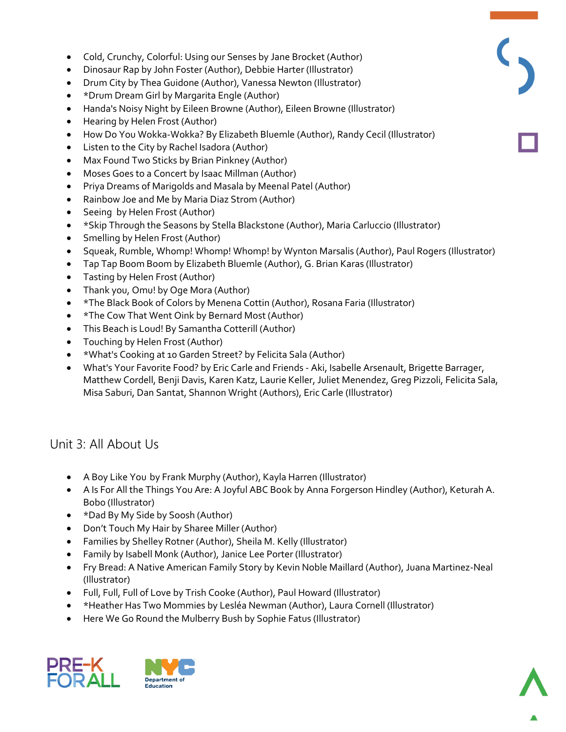- Cold, Crunchy, Colorful: Using our Senses by Jane Brocket (Author)
- Dinosaur Rap by John Foster (Author), Debbie Harter (Illustrator)
- Drum City by Thea Guidone (Author), Vanessa Newton (Illustrator)
- \*Drum Dream Girl by Margarita Engle (Author)
- Handa's Noisy Night by Eileen Browne (Author), Eileen Browne (Illustrator)
- Hearing by Helen Frost (Author)
- How Do You Wokka-Wokka? By Elizabeth Bluemle (Author), Randy Cecil (Illustrator)
- Listen to the City by Rachel Isadora (Author)
- Max Found Two Sticks by Brian Pinkney (Author)
- Moses Goes to a Concert by Isaac Millman (Author)
- Priya Dreams of Marigolds and Masala by Meenal Patel (Author)
- Rainbow Joe and Me by Maria Diaz Strom (Author)
- Seeing by Helen Frost (Author)
- \*Skip Through the Seasons by Stella Blackstone (Author), Maria Carluccio (Illustrator)
- Smelling by Helen Frost (Author)
- Squeak, Rumble, Whomp! Whomp! Whomp! by Wynton Marsalis (Author), Paul Rogers (Illustrator)
- Tap Tap Boom Boom by Elizabeth Bluemle (Author), G. Brian Karas (Illustrator)
- Tasting by Helen Frost (Author)
- Thank you, Omu! by Oge Mora (Author)
- \*The Black Book of Colors by Menena Cottin (Author), Rosana Faria (Illustrator)
- \*The Cow That Went Oink by Bernard Most (Author)
- This Beach is Loud! By Samantha Cotterill (Author)
- Touching by Helen Frost (Author)
- \*What's Cooking at 10 Garden Street? by Felicita Sala (Author)
- What's Your Favorite Food? by Eric Carle and Friends Aki, Isabelle Arsenault, Brigette Barrager, Matthew Cordell, Benji Davis, Karen Katz, Laurie Keller, Juliet Menendez, Greg Pizzoli, Felicita Sala, Misa Saburi, Dan Santat, Shannon Wright (Authors), Eric Carle (Illustrator)

### Unit 3: All About Us

- A Boy Like You by Frank Murphy (Author), Kayla Harren (Illustrator)
- A Is For All the Things You Are: A Joyful ABC Book by Anna Forgerson Hindley (Author), Keturah A. Bobo (Illustrator)
- \*Dad By My Side by Soosh (Author)
- Don't Touch My Hair by Sharee Miller (Author)
- Families by Shelley Rotner (Author), Sheila M. Kelly (Illustrator)
- Family by Isabell Monk (Author), Janice Lee Porter (Illustrator)
- Fry Bread: A Native American Family Story by Kevin Noble Maillard (Author), Juana Martinez-Neal (Illustrator)
- Full, Full, Full of Love by Trish Cooke (Author), Paul Howard (Illustrator)
- \*Heather Has Two Mommies by Lesléa Newman (Author), Laura Cornell (Illustrator)
- Here We Go Round the Mulberry Bush by Sophie Fatus (Illustrator)





 $\overline{\zeta}$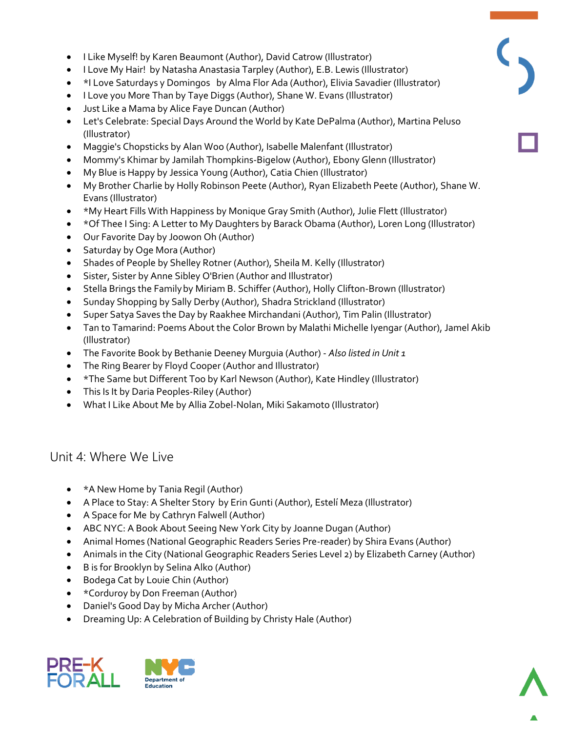- I Like Myself! by Karen Beaumont (Author), David Catrow (Illustrator)
- I Love My Hair! by Natasha Anastasia Tarpley (Author), E.B. Lewis (Illustrator)
- \*I Love Saturdays y Domingos by Alma Flor Ada (Author), Elivia Savadier (Illustrator)
- I Love you More Than by Taye Diggs (Author), Shane W. Evans (Illustrator)
- Just Like a Mama by Alice Faye Duncan (Author)
- Let's Celebrate: Special Days Around the World by Kate DePalma (Author), Martina Peluso (Illustrator)
- Maggie's Chopsticks by Alan Woo (Author), Isabelle Malenfant (Illustrator)
- Mommy's Khimar by Jamilah Thompkins-Bigelow (Author), Ebony Glenn (Illustrator)
- My Blue is Happy by Jessica Young (Author), Catia Chien (Illustrator)
- My Brother Charlie by Holly Robinson Peete (Author), Ryan Elizabeth Peete (Author), Shane W. Evans (Illustrator)
- \*My Heart Fills With Happiness by Monique Gray Smith (Author), Julie Flett (Illustrator)
- \* Of Thee I Sing: A Letter to My Daughters by Barack Obama (Author), Loren Long (Illustrator)
- Our Favorite Day by Joowon Oh (Author)
- Saturday by Oge Mora (Author)
- Shades of People by Shelley Rotner (Author), Sheila M. Kelly (Illustrator)
- Sister, Sister by Anne Sibley O'Brien (Author and Illustrator)
- Stella Brings the Familyby Miriam B. Schiffer (Author), Holly Clifton-Brown (Illustrator)
- Sunday Shopping by Sally Derby (Author), Shadra Strickland (Illustrator)
- Super Satya Saves the Day by Raakhee Mirchandani (Author), Tim Palin (Illustrator)
- Tan to Tamarind: Poems About the Color Brown by Malathi Michelle Iyengar (Author), Jamel Akib (Illustrator)
- The Favorite Book by Bethanie Deeney Murguia (Author) *Also listed in Unit 1*
- The Ring Bearer by Floyd Cooper (Author and Illustrator)
- \*The Same but Different Too by Karl Newson (Author), Kate Hindley (Illustrator)
- This Is It by Daria Peoples-Riley (Author)
- What I Like About Me by Allia Zobel-Nolan, Miki Sakamoto (Illustrator)

#### Unit 4: Where We Live

- \*A New Home by Tania Regil (Author)
- A Place to Stay: A Shelter Story by Erin Gunti (Author), Estelí Meza (Illustrator)
- A Space for Me by Cathryn Falwell (Author)
- ABC NYC: A Book About Seeing New York City by Joanne Dugan (Author)
- Animal Homes (National Geographic Readers Series Pre-reader) by Shira Evans (Author)
- Animals in the City (National Geographic Readers Series Level 2) by Elizabeth Carney (Author)
- B is for Brooklyn by Selina Alko (Author)
- Bodega Cat by Louie Chin (Author)
- \* Corduroy by Don Freeman (Author)
- Daniel's Good Day by Micha Archer (Author)
- Dreaming Up: A Celebration of Building by Christy Hale (Author)



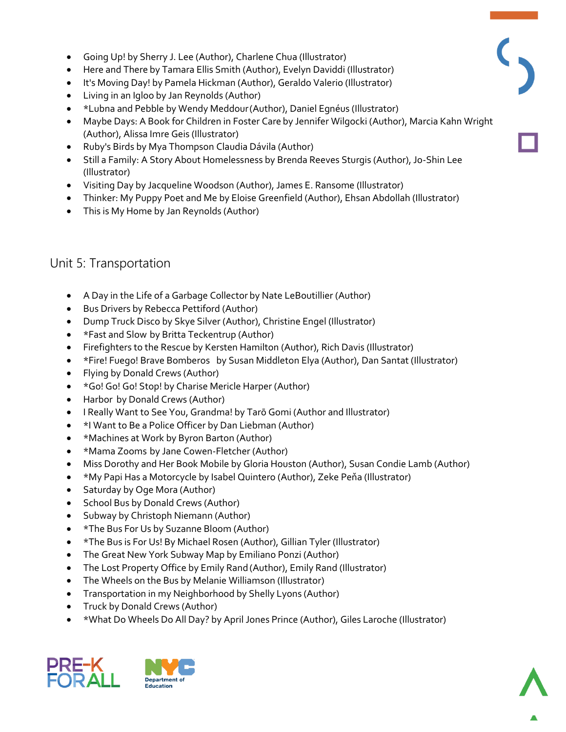- Going Up! by Sherry J. Lee (Author), Charlene Chua (Illustrator)
- Here and There by Tamara Ellis Smith (Author), Evelyn Daviddi (Illustrator)
- It's Moving Day! by Pamela Hickman (Author), Geraldo Valerio (Illustrator)
- Living in an Igloo by Jan Reynolds (Author)
- \*Lubna and Pebble by Wendy Meddour(Author), Daniel Egnéus (Illustrator)
- Maybe Days: A Book for Children in Foster Care by Jennifer Wilgocki (Author), Marcia Kahn Wright (Author), Alissa Imre Geis (Illustrator)
- Ruby's Birds by Mya Thompson Claudia Dávila (Author)
- Still a Family: A Story About Homelessness by Brenda Reeves Sturgis (Author), Jo-Shin Lee (Illustrator)
- Visiting Day by Jacqueline Woodson (Author), James E. Ransome (Illustrator)
- Thinker: My Puppy Poet and Me by Eloise Greenfield (Author), Ehsan Abdollah (Illustrator)
- This is My Home by Jan Reynolds (Author)

## Unit 5: Transportation

- A Day in the Life of a Garbage Collector by Nate LeBoutillier (Author)
- Bus Drivers by Rebecca Pettiford (Author)
- Dump Truck Disco by Skye Silver (Author), Christine Engel (Illustrator)
- \*Fast and Slow by Britta Teckentrup (Author)
- Firefighters to the Rescue by Kersten Hamilton (Author), Rich Davis (Illustrator)
- \*Fire! Fuego! Brave Bomberos by Susan Middleton Elya (Author), Dan Santat (Illustrator)
- Flying by Donald Crews (Author)
- \*Go! Go! Go! Stop! by Charise Mericle Harper (Author)
- Harbor by Donald Crews (Author)
- I Really Want to See You, Grandma! by Tarō Gomi (Author and Illustrator)
- \*I Want to Be a Police Officer by Dan Liebman (Author)
- \*Machines at Work by Byron Barton (Author)
- \*Mama Zooms by Jane Cowen-Fletcher (Author)
- Miss Dorothy and Her Book Mobile by Gloria Houston (Author), Susan Condie Lamb (Author)
- \*My Papi Has a Motorcycle by Isabel Quintero (Author), Zeke Peňa (Illustrator)
- Saturday by Oge Mora (Author)
- School Bus by Donald Crews (Author)
- Subway by Christoph Niemann (Author)
- \*The Bus For Us by Suzanne Bloom (Author)
- \*The Bus is For Us! By Michael Rosen (Author), Gillian Tyler (Illustrator)
- The Great New York Subway Map by Emiliano Ponzi (Author)
- The Lost Property Office by Emily Rand(Author), Emily Rand (Illustrator)
- The Wheels on the Bus by Melanie Williamson (Illustrator)
- Transportation in my Neighborhood by Shelly Lyons (Author)
- Truck by Donald Crews (Author)
- \*What Do Wheels Do All Day? by April Jones Prince (Author), Giles Laroche (Illustrator)



 $\overline{\mathcal{C}}$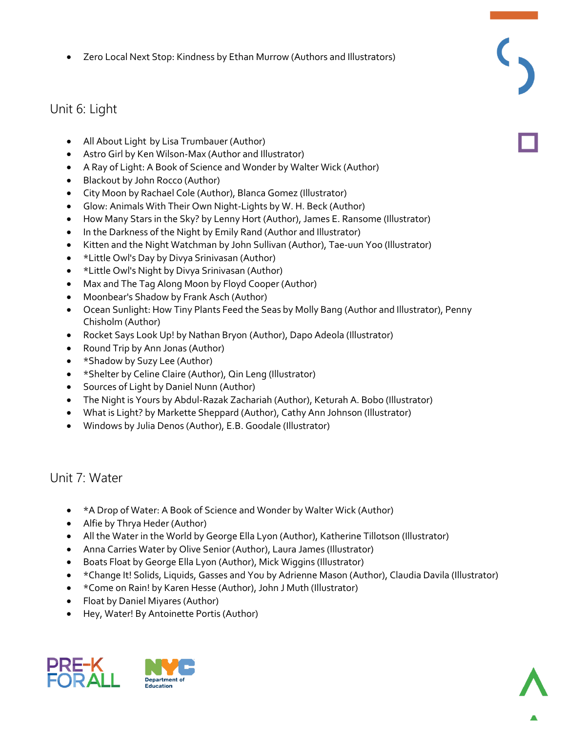Zero Local Next Stop: Kindness by Ethan Murrow (Authors and Illustrators)

# Unit 6: Light

- All About Light by Lisa Trumbauer (Author)
- Astro Girl by Ken Wilson-Max (Author and Illustrator)
- A Ray of Light: A Book of Science and Wonder by Walter Wick (Author)
- Blackout by John Rocco (Author)
- City Moon by Rachael Cole (Author), Blanca Gomez (Illustrator)
- Glow: Animals With Their Own Night-Lights by W. H. Beck (Author)
- How Many Stars in the Sky? by Lenny Hort (Author), James E. Ransome (Illustrator)
- In the Darkness of the Night by Emily Rand (Author and Illustrator)
- Kitten and the Night Watchman by John Sullivan (Author), Tae-uun Yoo (Illustrator)
- \* Little Owl's Day by Divya Srinivasan (Author)
- \*Little Owl's Night by Divya Srinivasan (Author)
- Max and The Tag Along Moon by Floyd Cooper (Author)
- Moonbear's Shadow by Frank Asch (Author)
- Ocean Sunlight: How Tiny Plants Feed the Seas by Molly Bang (Author and Illustrator), Penny Chisholm (Author)
- Rocket Says Look Up! by Nathan Bryon (Author), Dapo Adeola (Illustrator)
- Round Trip by Ann Jonas (Author)
- \*Shadow by Suzy Lee (Author)
- \*Shelter by Celine Claire (Author), Qin Leng (Illustrator)
- Sources of Light by Daniel Nunn (Author)
- The Night is Yours by Abdul-Razak Zachariah (Author), Keturah A. Bobo (Illustrator)
- What is Light? by Markette Sheppard (Author), Cathy Ann Johnson (Illustrator)
- Windows by Julia Denos (Author), E.B. Goodale (Illustrator)

#### Unit 7: Water

- \*A Drop of Water: A Book of Science and Wonder by Walter Wick (Author)
- Alfie by Thrya Heder (Author)
- All the Water in the World by George Ella Lyon (Author), Katherine Tillotson (Illustrator)
- Anna Carries Water by Olive Senior (Author), Laura James (Illustrator)
- Boats Float by George Ella Lyon (Author), Mick Wiggins (Illustrator)
- \*Change It! Solids, Liquids, Gasses and You by Adrienne Mason (Author), Claudia Davila (Illustrator)
- \*Come on Rain! by Karen Hesse (Author), John J Muth (Illustrator)
- Float by Daniel Miyares (Author)
- Hey, Water! By Antoinette Portis (Author)



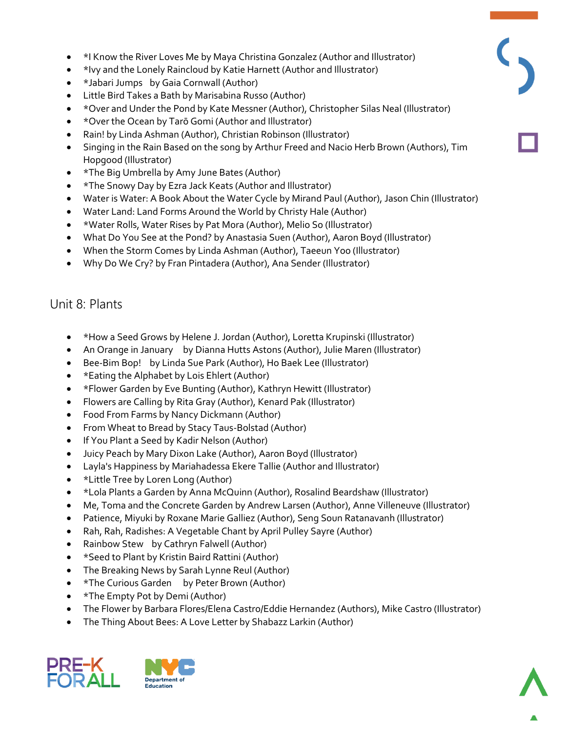- \*I Know the River Loves Me by Maya Christina Gonzalez (Author and Illustrator)
- \*Ivy and the Lonely Raincloud by Katie Harnett (Author and Illustrator)
- \*Jabari Jumps by Gaia Cornwall (Author)
- Little Bird Takes a Bath by Marisabina Russo (Author)
- \*Over and Under the Pond by Kate Messner (Author), Christopher Silas Neal (Illustrator)
- \*Over the Ocean by Tarō Gomi (Author and Illustrator)
- Rain! by Linda Ashman (Author), Christian Robinson (Illustrator)
- Singing in the Rain Based on the song by Arthur Freed and Nacio Herb Brown (Authors), Tim Hopgood (Illustrator)
- \*The Big Umbrella by Amy June Bates (Author)
- \*The Snowy Day by Ezra Jack Keats (Author and Illustrator)
- Water is Water: A Book About the Water Cycle by Mirand Paul (Author), Jason Chin (Illustrator)
- Water Land: Land Forms Around the World by Christy Hale (Author)
- \*Water Rolls, Water Rises by Pat Mora (Author), Melio So (Illustrator)
- What Do You See at the Pond? by Anastasia Suen (Author), Aaron Boyd (Illustrator)
- When the Storm Comes by Linda Ashman (Author), Taeeun Yoo (Illustrator)
- Why Do We Cry? by Fran Pintadera (Author), Ana Sender (Illustrator)

#### Unit 8: Plants

- \*How a Seed Grows by Helene J. Jordan (Author), Loretta Krupinski (Illustrator)
- An Orange in January by Dianna Hutts Astons (Author), Julie Maren (Illustrator)
- Bee-Bim Bop! by Linda Sue Park (Author), Ho Baek Lee (Illustrator)
- \* Eating the Alphabet by Lois Ehlert (Author)
- \*Flower Garden by Eve Bunting (Author), Kathryn Hewitt (Illustrator)
- Flowers are Calling by Rita Gray (Author), Kenard Pak (Illustrator)
- Food From Farms by Nancy Dickmann (Author)
- From Wheat to Bread by Stacy Taus-Bolstad (Author)
- If You Plant a Seed by Kadir Nelson (Author)
- Juicy Peach by Mary Dixon Lake (Author), Aaron Boyd (Illustrator)
- Layla's Happiness by Mariahadessa Ekere Tallie (Author and Illustrator)
- \*Little Tree by Loren Long (Author)
- \*Lola Plants a Garden by Anna McQuinn (Author), Rosalind Beardshaw (Illustrator)
- Me, Toma and the Concrete Garden by Andrew Larsen (Author), Anne Villeneuve (Illustrator)
- Patience, Miyuki by Roxane Marie Galliez (Author), Seng Soun Ratanavanh (Illustrator)
- Rah, Rah, Radishes: A Vegetable Chant by April Pulley Sayre (Author)
- Rainbow Stew by Cathryn Falwell (Author)
- \*Seed to Plant by Kristin Baird Rattini (Author)
- The Breaking News by Sarah Lynne Reul (Author)
- \*The Curious Garden by Peter Brown (Author)
- \*The Empty Pot by Demi (Author)
- The Flower by Barbara Flores/Elena Castro/Eddie Hernandez (Authors), Mike Castro (Illustrator)
- The Thing About Bees: A Love Letter by Shabazz Larkin (Author)



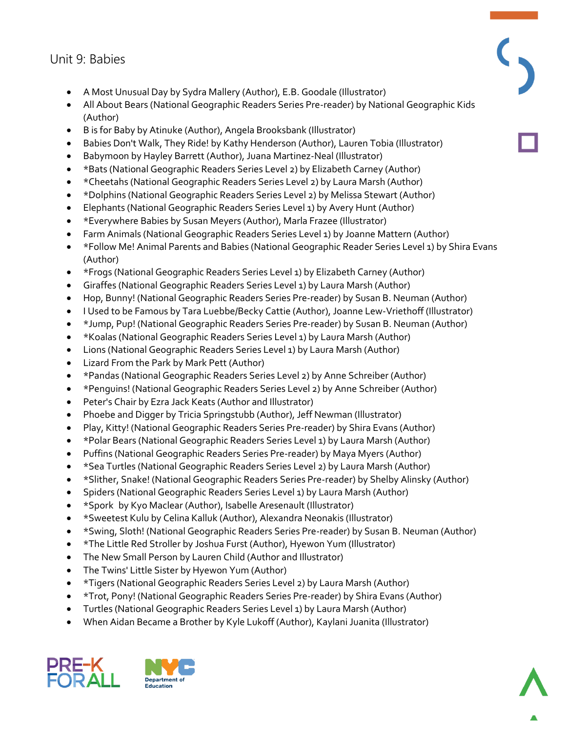### Unit 9: Babies

- A Most Unusual Day by Sydra Mallery (Author), E.B. Goodale (Illustrator)
- All About Bears (National Geographic Readers Series Pre-reader) by National Geographic Kids (Author)
- B is for Baby by Atinuke (Author), Angela Brooksbank (Illustrator)
- Babies Don't Walk, They Ride! by Kathy Henderson (Author), Lauren Tobia (Illustrator)
- Babymoon by Hayley Barrett (Author), Juana Martinez-Neal (Illustrator)
- \*Bats (National Geographic Readers Series Level 2) by Elizabeth Carney (Author)
- \*Cheetahs (National Geographic Readers Series Level 2) by Laura Marsh (Author)
- \*Dolphins (National Geographic Readers Series Level 2) by Melissa Stewart (Author)
- Elephants (National Geographic Readers Series Level 1) by Avery Hunt (Author)
- \*Everywhere Babies by Susan Meyers (Author), Marla Frazee (Illustrator)
- Farm Animals (National Geographic Readers Series Level 1) by Joanne Mattern (Author)
- \*Follow Me! Animal Parents and Babies (National Geographic Reader Series Level 1) by Shira Evans (Author)
- \*Frogs (National Geographic Readers Series Level 1) by Elizabeth Carney (Author)
- Giraffes (National Geographic Readers Series Level 1) by Laura Marsh (Author)
- Hop, Bunny! (National Geographic Readers Series Pre-reader) by Susan B. Neuman (Author)
- I Used to be Famous by Tara Luebbe/Becky Cattie (Author), Joanne Lew-Vriethoff (Illustrator)
- \*Jump, Pup! (National Geographic Readers Series Pre-reader) by Susan B. Neuman (Author)
- \*Koalas (National Geographic Readers Series Level 1) by Laura Marsh (Author)
- Lions (National Geographic Readers Series Level 1) by Laura Marsh (Author)
- Lizard From the Park by Mark Pett (Author)
- \*Pandas (National Geographic Readers Series Level 2) by Anne Schreiber (Author)
- \*Penguins! (National Geographic Readers Series Level 2) by Anne Schreiber (Author)
- Peter's Chair by Ezra Jack Keats (Author and Illustrator)
- Phoebe and Digger by Tricia Springstubb (Author), Jeff Newman (Illustrator)
- Play, Kitty! (National Geographic Readers Series Pre-reader) by Shira Evans (Author)
- \*Polar Bears (National Geographic Readers Series Level 1) by Laura Marsh (Author)
- Puffins (National Geographic Readers Series Pre-reader) by Maya Myers (Author)
- \*Sea Turtles (National Geographic Readers Series Level 2) by Laura Marsh (Author)
- \*Slither, Snake! (National Geographic Readers Series Pre-reader) by Shelby Alinsky (Author)
- Spiders (National Geographic Readers Series Level 1) by Laura Marsh (Author)
- \*Spork by Kyo Maclear (Author), Isabelle Aresenault (Illustrator)
- \*Sweetest Kulu by Celina Kalluk (Author), Alexandra Neonakis (Illustrator)
- \*Swing, Sloth! (National Geographic Readers Series Pre-reader) by Susan B. Neuman (Author)
- \*The Little Red Stroller by Joshua Furst (Author), Hyewon Yum (Illustrator)
- The New Small Person by Lauren Child (Author and Illustrator)
- The Twins' Little Sister by Hyewon Yum (Author)
- \*Tigers (National Geographic Readers Series Level 2) by Laura Marsh (Author)
- \*Trot, Pony! (National Geographic Readers Series Pre-reader) by Shira Evans (Author)
- Turtles (National Geographic Readers Series Level 1) by Laura Marsh (Author)
- When Aidan Became a Brother by Kyle Lukoff (Author), Kaylani Juanita (Illustrator)